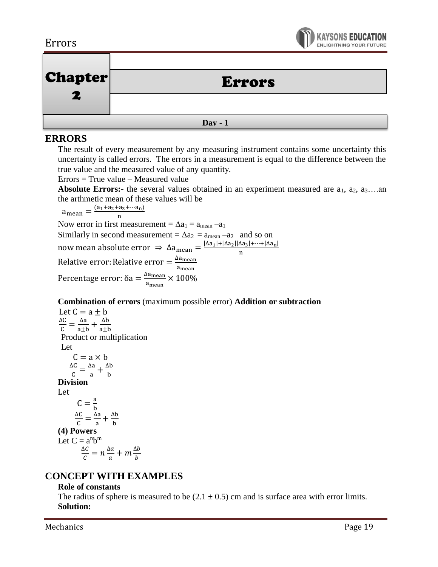

| <b>Chapter</b><br>9 |               |
|---------------------|---------------|
|                     | <b>Errors</b> |
|                     |               |
| <b>Dav</b> - 1      |               |

## **ERRORS**

The result of every measurement by any measuring instrument contains some uncertainty this uncertainty is called errors. The errors in a measurement is equal to the difference between the true value and the measured value of any quantity.

Errors = True value – Measured value

**Absolute Errors:**- the several values obtained in an experiment measured are  $a_1$ ,  $a_2$ ,  $a_3$ ....an the arthmetic mean of these values will be

 $a_{\text{mean}} = \frac{(a_1 + a_2 + a_3 + \cdots + a_n)}{n}$ 

n

Now error in first measurement =  $\Delta a_1 = a_{\text{mean}} - a_1$ 

Similarly in second measurement =  $\Delta a_2$  =  $a_{\text{mean}} - a_2$  and so on now mean absolute error  $\Rightarrow$  Δa<sub>mean</sub> =  $\frac{|\Delta a_1| + |\Delta a_2||\Delta a_3| + ... + |\Delta a_n|}{n}$ n Relative error: Relative error =  $\frac{\Delta \text{a}_{\text{mean}}}{\Delta \text{a}_{\text{mean}}}$ amean Percentage error: δa =  $\frac{\Delta a_{\text{mean}}}{a}$  $\frac{\mu_{\rm mean}}{\mu_{\rm mean}} \times 100\%$ 

#### **Combination of errors** (maximum possible error) **Addition or subtraction**

Let  $C = a \pm b$ ∆C  $\frac{\Delta C}{C} = \frac{\Delta a}{a \pm b}$  $\frac{\Delta a}{a \pm b} + \frac{\Delta b}{a \pm b}$ a±b Product or multiplication Let  $C = a \times b$ ∆C  $\frac{\Delta C}{C} = \frac{\Delta a}{a}$  $\frac{\Delta a}{a} + \frac{\Delta b}{b}$ b **Division**  Let  $C = \frac{a}{b}$ b ∆C  $\frac{\Delta C}{C} = \frac{\Delta a}{a}$  $\frac{\Delta a}{a} + \frac{\Delta b}{b}$ b **(4) Powers** Let  $C = a^n b^m$  $\Delta C$  $\frac{\Delta C}{C} = n \frac{\Delta a}{a}$  $\frac{\Delta a}{a} + m \frac{\Delta b}{b}$ b

# **CONCEPT WITH EXAMPLES**

#### **Role of constants**

The radius of sphere is measured to be  $(2.1 \pm 0.5)$  cm and is surface area with error limits. **Solution:**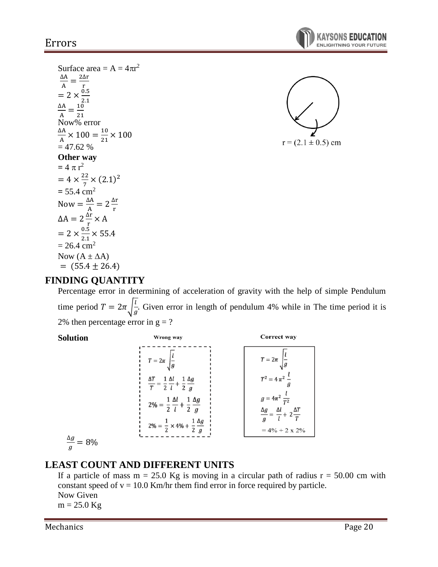KAYSONS ED **ENLIGHTNING YOUR FUTURI** 

Surface area  $= A = 4\pi r^2$ ∆A  $\frac{\Delta A}{A} = \frac{2\Delta r}{r}$ r  $= 2 \times \frac{0.5}{2.4}$ 2.1 ∆A  $\frac{\Delta A}{A} = \frac{10}{21}$ 21 Now% error ∆A  $\frac{\Delta A}{A} \times 100 = \frac{10}{21}$  $\frac{10}{21} \times 100$  $= 47.62 %$ **Other way**   $= 4 \pi r^2$  $= 4 \times \frac{22}{7}$  $\frac{22}{7} \times (2.1)^2$  $= 55.4 \text{ cm}^2$ Now  $=\frac{\Delta A}{\Delta}$  $\frac{\Delta A}{A} = 2 \frac{\Delta r}{r}$ r  $\Delta A = 2 \frac{\Delta r}{r}$  $\frac{11}{r} \times A$  $= 2 \times \frac{0.5}{2.4}$  $\frac{0.5}{2.1} \times 55.4$  $= 26.4 \text{ cm}^2$ Now  $(A \pm \Delta A)$  $=$  (55.4  $\pm$  26.4)

 $r = (2.1 \pm 0.5)$  cm

## **FINDING QUANTITY**

Percentage error in determining of acceleration of gravity with the help of simple Pendulum time period  $T = 2\pi \int_{0}^{1}$  $\frac{1}{g}$ . Given error in length of pendulum 4% while in The time period it is 2% then percentage error in  $g = ?$ 



$$
\frac{\Delta g}{g} = 8\%
$$

# **LEAST COUNT AND DIFFERENT UNITS**

If a particle of mass  $m = 25.0$  Kg is moving in a circular path of radius  $r = 50.00$  cm with constant speed of  $v = 10.0$  Km/hr them find error in force required by particle. Now Given  $m = 25.0$  Kg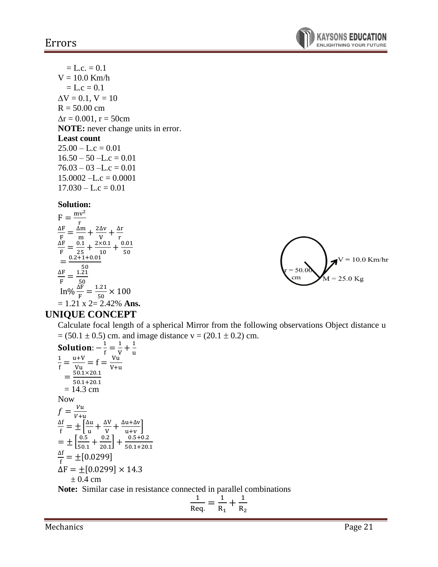

 $= L.c. = 0.1$  $V = 10.0$  Km/h  $= L.c = 0.1$  $\Delta V = 0.1, V = 10$  $R = 50.00$  cm  $\Delta r = 0.001$ ,  $r = 50$ cm **NOTE:** never change units in error. **Least count**   $25.00 - L.c = 0.01$  $16.50 - 50 - L.c = 0.01$  $76.03 - 03 - L.c = 0.01$  $15.0002 - L.c = 0.0001$  $17.030 - L.c = 0.01$ 

#### **Solution:**

$$
F = \frac{mv^2}{r}
$$
  
\n
$$
\frac{\Delta F}{F} = \frac{\Delta m}{m} + \frac{2\Delta v}{V} + \frac{\Delta r}{r}
$$
  
\n
$$
\frac{\Delta F}{F} = \frac{0.1}{25} + \frac{2 \times 0.1}{10} + \frac{0.01}{50}
$$
  
\n
$$
= \frac{0.2 + 1 + 0.01}{50}
$$
  
\n
$$
\frac{\Delta F}{F} = \frac{1.21}{50}
$$
  
\n
$$
\ln\% \frac{\Delta F}{F} = \frac{1.21}{50} \times 100
$$
  
\n
$$
= 1.21 \text{ x } 2 = 2.42\% \text{ Ans.}
$$



## **UNIQUE CONCEPT**

Calculate focal length of a spherical Mirror from the following observations Object distance u  $= (50.1 \pm 0.5)$  cm. and image distance v =  $(20.1 \pm 0.2)$  cm.

**Solution:** 
$$
-\frac{1}{f} = \frac{1}{V} + \frac{1}{u}
$$
  
\n $\frac{1}{f} = \frac{u+V}{Vu} = f = \frac{Vu}{V+u}$   
\n $= \frac{50.1 \times 20.1}{50.1 + 20.1}$   
\n $= 14.3 \text{ cm}$   
\nNow  
\n $f = \frac{Vu}{V+u}$   
\n $\frac{\Delta f}{f} = \pm \left[ \frac{\Delta u}{u} + \frac{\Delta V}{V} + \frac{\Delta u + \Delta v}{u+v} \right]$   
\n $= \pm \left[ \frac{0.5}{50.1} + \frac{0.2}{20.1} \right] + \frac{0.5 + 0.2}{50.1 + 20.1}$   
\n $\frac{\Delta f}{f} = \pm [0.0299]$   
\n $\Delta F = \pm [0.0299] \times 14.3$   
\n $\pm 0.4 \text{ cm}$ 

**Note:** Similar case in resistance connected in parallel combinations

$$
\frac{1}{\text{Re}q.} = \frac{1}{R_1} + \frac{1}{R_2}
$$